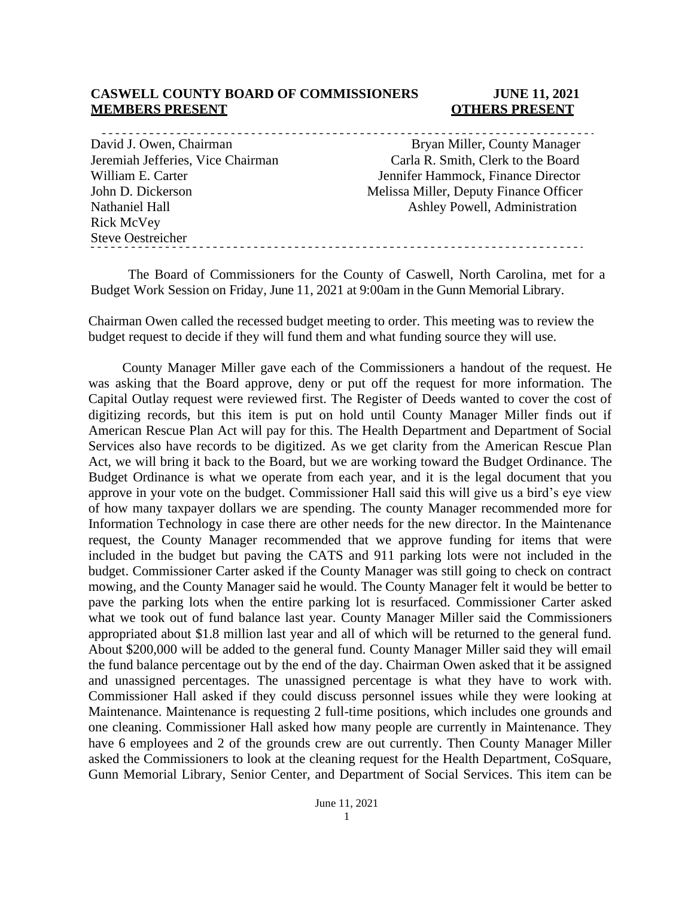#### **CASWELL COUNTY BOARD OF COMMISSIONERS JUNE 11, 2021 MEMBERS PRESENT COTHERS PRESENT**

| Bryan Miller, County Manager           |  |
|----------------------------------------|--|
| Carla R. Smith, Clerk to the Board     |  |
| Jennifer Hammock, Finance Director     |  |
| Melissa Miller, Deputy Finance Officer |  |
| Ashley Powell, Administration          |  |
|                                        |  |

The Board of Commissioners for the County of Caswell, North Carolina, met for a Budget Work Session on Friday, June 11, 2021 at 9:00am in the Gunn Memorial Library.

Chairman Owen called the recessed budget meeting to order. This meeting was to review the budget request to decide if they will fund them and what funding source they will use.

County Manager Miller gave each of the Commissioners a handout of the request. He was asking that the Board approve, deny or put off the request for more information. The Capital Outlay request were reviewed first. The Register of Deeds wanted to cover the cost of digitizing records, but this item is put on hold until County Manager Miller finds out if American Rescue Plan Act will pay for this. The Health Department and Department of Social Services also have records to be digitized. As we get clarity from the American Rescue Plan Act, we will bring it back to the Board, but we are working toward the Budget Ordinance. The Budget Ordinance is what we operate from each year, and it is the legal document that you approve in your vote on the budget. Commissioner Hall said this will give us a bird's eye view of how many taxpayer dollars we are spending. The county Manager recommended more for Information Technology in case there are other needs for the new director. In the Maintenance request, the County Manager recommended that we approve funding for items that were included in the budget but paving the CATS and 911 parking lots were not included in the budget. Commissioner Carter asked if the County Manager was still going to check on contract mowing, and the County Manager said he would. The County Manager felt it would be better to pave the parking lots when the entire parking lot is resurfaced. Commissioner Carter asked what we took out of fund balance last year. County Manager Miller said the Commissioners appropriated about \$1.8 million last year and all of which will be returned to the general fund. About \$200,000 will be added to the general fund. County Manager Miller said they will email the fund balance percentage out by the end of the day. Chairman Owen asked that it be assigned and unassigned percentages. The unassigned percentage is what they have to work with. Commissioner Hall asked if they could discuss personnel issues while they were looking at Maintenance. Maintenance is requesting 2 full-time positions, which includes one grounds and one cleaning. Commissioner Hall asked how many people are currently in Maintenance. They have 6 employees and 2 of the grounds crew are out currently. Then County Manager Miller asked the Commissioners to look at the cleaning request for the Health Department, CoSquare, Gunn Memorial Library, Senior Center, and Department of Social Services. This item can be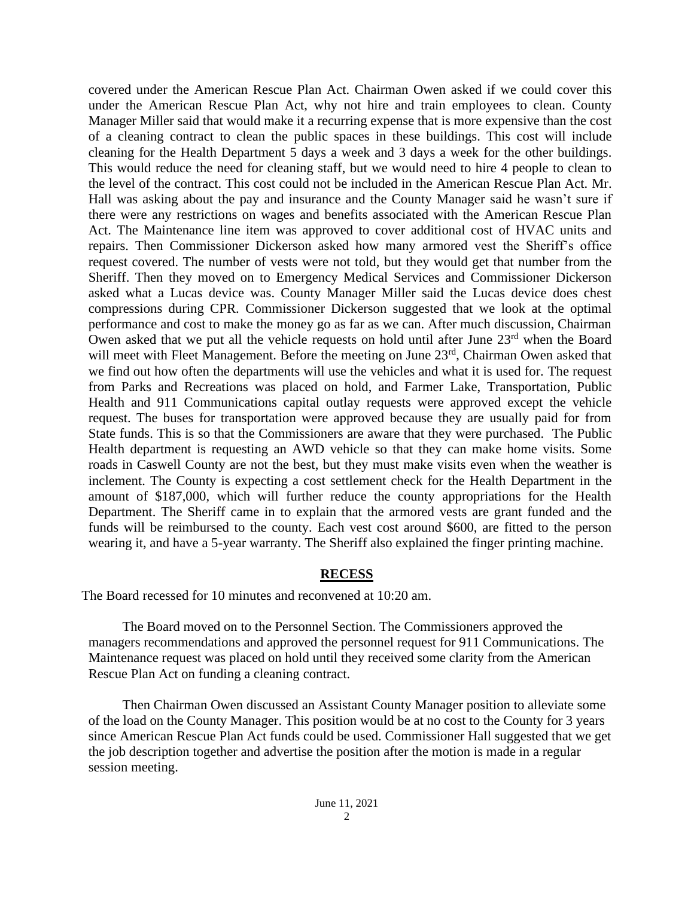covered under the American Rescue Plan Act. Chairman Owen asked if we could cover this under the American Rescue Plan Act, why not hire and train employees to clean. County Manager Miller said that would make it a recurring expense that is more expensive than the cost of a cleaning contract to clean the public spaces in these buildings. This cost will include cleaning for the Health Department 5 days a week and 3 days a week for the other buildings. This would reduce the need for cleaning staff, but we would need to hire 4 people to clean to the level of the contract. This cost could not be included in the American Rescue Plan Act. Mr. Hall was asking about the pay and insurance and the County Manager said he wasn't sure if there were any restrictions on wages and benefits associated with the American Rescue Plan Act. The Maintenance line item was approved to cover additional cost of HVAC units and repairs. Then Commissioner Dickerson asked how many armored vest the Sheriff's office request covered. The number of vests were not told, but they would get that number from the Sheriff. Then they moved on to Emergency Medical Services and Commissioner Dickerson asked what a Lucas device was. County Manager Miller said the Lucas device does chest compressions during CPR. Commissioner Dickerson suggested that we look at the optimal performance and cost to make the money go as far as we can. After much discussion, Chairman Owen asked that we put all the vehicle requests on hold until after June  $23<sup>rd</sup>$  when the Board will meet with Fleet Management. Before the meeting on June 23<sup>rd</sup>, Chairman Owen asked that we find out how often the departments will use the vehicles and what it is used for. The request from Parks and Recreations was placed on hold, and Farmer Lake, Transportation, Public Health and 911 Communications capital outlay requests were approved except the vehicle request. The buses for transportation were approved because they are usually paid for from State funds. This is so that the Commissioners are aware that they were purchased. The Public Health department is requesting an AWD vehicle so that they can make home visits. Some roads in Caswell County are not the best, but they must make visits even when the weather is inclement. The County is expecting a cost settlement check for the Health Department in the amount of \$187,000, which will further reduce the county appropriations for the Health Department. The Sheriff came in to explain that the armored vests are grant funded and the funds will be reimbursed to the county. Each vest cost around \$600, are fitted to the person wearing it, and have a 5-year warranty. The Sheriff also explained the finger printing machine.

## **RECESS**

The Board recessed for 10 minutes and reconvened at 10:20 am.

The Board moved on to the Personnel Section. The Commissioners approved the managers recommendations and approved the personnel request for 911 Communications. The Maintenance request was placed on hold until they received some clarity from the American Rescue Plan Act on funding a cleaning contract.

Then Chairman Owen discussed an Assistant County Manager position to alleviate some of the load on the County Manager. This position would be at no cost to the County for 3 years since American Rescue Plan Act funds could be used. Commissioner Hall suggested that we get the job description together and advertise the position after the motion is made in a regular session meeting.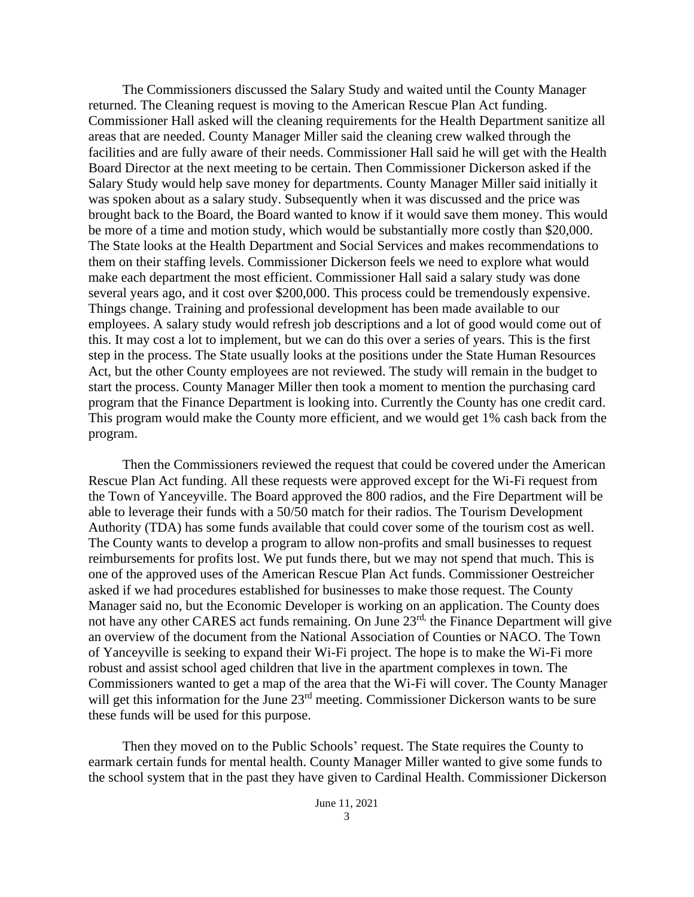The Commissioners discussed the Salary Study and waited until the County Manager returned. The Cleaning request is moving to the American Rescue Plan Act funding. Commissioner Hall asked will the cleaning requirements for the Health Department sanitize all areas that are needed. County Manager Miller said the cleaning crew walked through the facilities and are fully aware of their needs. Commissioner Hall said he will get with the Health Board Director at the next meeting to be certain. Then Commissioner Dickerson asked if the Salary Study would help save money for departments. County Manager Miller said initially it was spoken about as a salary study. Subsequently when it was discussed and the price was brought back to the Board, the Board wanted to know if it would save them money. This would be more of a time and motion study, which would be substantially more costly than \$20,000. The State looks at the Health Department and Social Services and makes recommendations to them on their staffing levels. Commissioner Dickerson feels we need to explore what would make each department the most efficient. Commissioner Hall said a salary study was done several years ago, and it cost over \$200,000. This process could be tremendously expensive. Things change. Training and professional development has been made available to our employees. A salary study would refresh job descriptions and a lot of good would come out of this. It may cost a lot to implement, but we can do this over a series of years. This is the first step in the process. The State usually looks at the positions under the State Human Resources Act, but the other County employees are not reviewed. The study will remain in the budget to start the process. County Manager Miller then took a moment to mention the purchasing card program that the Finance Department is looking into. Currently the County has one credit card. This program would make the County more efficient, and we would get 1% cash back from the program.

Then the Commissioners reviewed the request that could be covered under the American Rescue Plan Act funding. All these requests were approved except for the Wi-Fi request from the Town of Yanceyville. The Board approved the 800 radios, and the Fire Department will be able to leverage their funds with a 50/50 match for their radios. The Tourism Development Authority (TDA) has some funds available that could cover some of the tourism cost as well. The County wants to develop a program to allow non-profits and small businesses to request reimbursements for profits lost. We put funds there, but we may not spend that much. This is one of the approved uses of the American Rescue Plan Act funds. Commissioner Oestreicher asked if we had procedures established for businesses to make those request. The County Manager said no, but the Economic Developer is working on an application. The County does not have any other CARES act funds remaining. On June 23rd, the Finance Department will give an overview of the document from the National Association of Counties or NACO. The Town of Yanceyville is seeking to expand their Wi-Fi project. The hope is to make the Wi-Fi more robust and assist school aged children that live in the apartment complexes in town. The Commissioners wanted to get a map of the area that the Wi-Fi will cover. The County Manager will get this information for the June 23<sup>rd</sup> meeting. Commissioner Dickerson wants to be sure these funds will be used for this purpose.

Then they moved on to the Public Schools' request. The State requires the County to earmark certain funds for mental health. County Manager Miller wanted to give some funds to the school system that in the past they have given to Cardinal Health. Commissioner Dickerson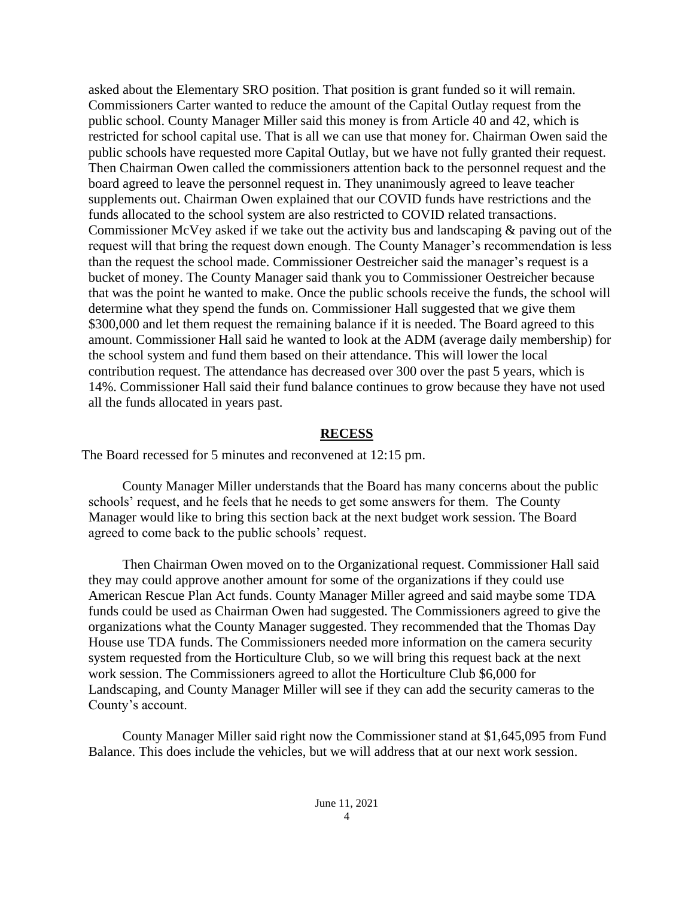asked about the Elementary SRO position. That position is grant funded so it will remain. Commissioners Carter wanted to reduce the amount of the Capital Outlay request from the public school. County Manager Miller said this money is from Article 40 and 42, which is restricted for school capital use. That is all we can use that money for. Chairman Owen said the public schools have requested more Capital Outlay, but we have not fully granted their request. Then Chairman Owen called the commissioners attention back to the personnel request and the board agreed to leave the personnel request in. They unanimously agreed to leave teacher supplements out. Chairman Owen explained that our COVID funds have restrictions and the funds allocated to the school system are also restricted to COVID related transactions. Commissioner McVey asked if we take out the activity bus and landscaping & paving out of the request will that bring the request down enough. The County Manager's recommendation is less than the request the school made. Commissioner Oestreicher said the manager's request is a bucket of money. The County Manager said thank you to Commissioner Oestreicher because that was the point he wanted to make. Once the public schools receive the funds, the school will determine what they spend the funds on. Commissioner Hall suggested that we give them \$300,000 and let them request the remaining balance if it is needed. The Board agreed to this amount. Commissioner Hall said he wanted to look at the ADM (average daily membership) for the school system and fund them based on their attendance. This will lower the local contribution request. The attendance has decreased over 300 over the past 5 years, which is 14%. Commissioner Hall said their fund balance continues to grow because they have not used all the funds allocated in years past.

## **RECESS**

The Board recessed for 5 minutes and reconvened at 12:15 pm.

County Manager Miller understands that the Board has many concerns about the public schools' request, and he feels that he needs to get some answers for them. The County Manager would like to bring this section back at the next budget work session. The Board agreed to come back to the public schools' request.

Then Chairman Owen moved on to the Organizational request. Commissioner Hall said they may could approve another amount for some of the organizations if they could use American Rescue Plan Act funds. County Manager Miller agreed and said maybe some TDA funds could be used as Chairman Owen had suggested. The Commissioners agreed to give the organizations what the County Manager suggested. They recommended that the Thomas Day House use TDA funds. The Commissioners needed more information on the camera security system requested from the Horticulture Club, so we will bring this request back at the next work session. The Commissioners agreed to allot the Horticulture Club \$6,000 for Landscaping, and County Manager Miller will see if they can add the security cameras to the County's account.

County Manager Miller said right now the Commissioner stand at \$1,645,095 from Fund Balance. This does include the vehicles, but we will address that at our next work session.